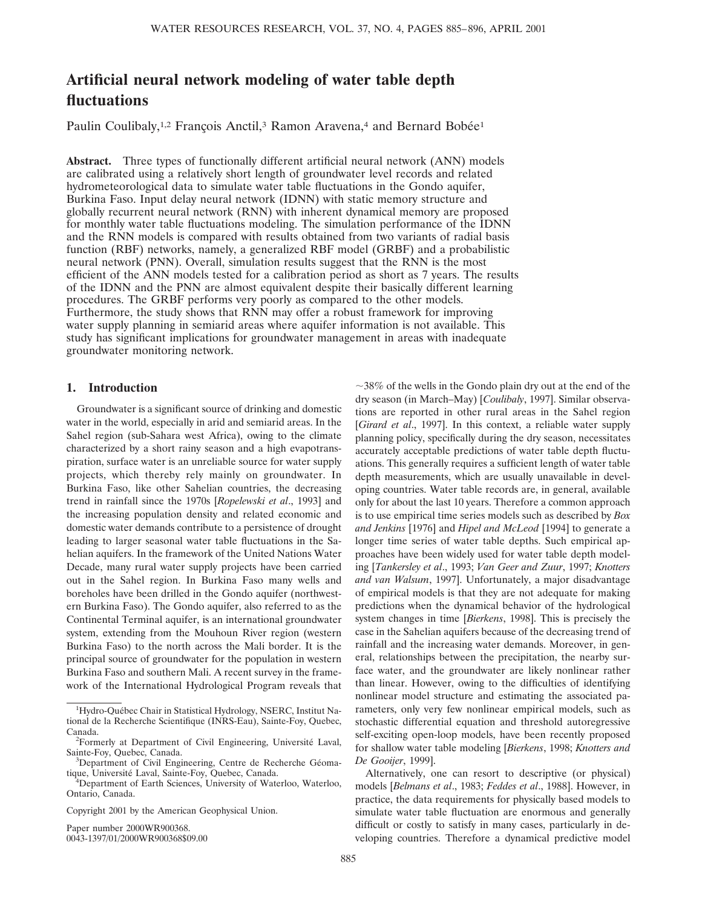# **Artificial neural network modeling of water table depth fluctuations**

Paulin Coulibaly,<sup>1,2</sup> François Anctil,<sup>3</sup> Ramon Aravena,<sup>4</sup> and Bernard Bobée<sup>1</sup>

**Abstract.** Three types of functionally different artificial neural network (ANN) models are calibrated using a relatively short length of groundwater level records and related hydrometeorological data to simulate water table fluctuations in the Gondo aquifer, Burkina Faso. Input delay neural network (IDNN) with static memory structure and globally recurrent neural network (RNN) with inherent dynamical memory are proposed for monthly water table fluctuations modeling. The simulation performance of the IDNN and the RNN models is compared with results obtained from two variants of radial basis function (RBF) networks, namely, a generalized RBF model (GRBF) and a probabilistic neural network (PNN). Overall, simulation results suggest that the RNN is the most efficient of the ANN models tested for a calibration period as short as 7 years. The results of the IDNN and the PNN are almost equivalent despite their basically different learning procedures. The GRBF performs very poorly as compared to the other models. Furthermore, the study shows that RNN may offer a robust framework for improving water supply planning in semiarid areas where aquifer information is not available. This study has significant implications for groundwater management in areas with inadequate groundwater monitoring network.

# **1. Introduction**

Groundwater is a significant source of drinking and domestic water in the world, especially in arid and semiarid areas. In the Sahel region (sub-Sahara west Africa), owing to the climate characterized by a short rainy season and a high evapotranspiration, surface water is an unreliable source for water supply projects, which thereby rely mainly on groundwater. In Burkina Faso, like other Sahelian countries, the decreasing trend in rainfall since the 1970s [*Ropelewski et al*., 1993] and the increasing population density and related economic and domestic water demands contribute to a persistence of drought leading to larger seasonal water table fluctuations in the Sahelian aquifers. In the framework of the United Nations Water Decade, many rural water supply projects have been carried out in the Sahel region. In Burkina Faso many wells and boreholes have been drilled in the Gondo aquifer (northwestern Burkina Faso). The Gondo aquifer, also referred to as the Continental Terminal aquifer, is an international groundwater system, extending from the Mouhoun River region (western Burkina Faso) to the north across the Mali border. It is the principal source of groundwater for the population in western Burkina Faso and southern Mali. A recent survey in the framework of the International Hydrological Program reveals that

Paper number 2000WR900368.

0043-1397/01/2000WR900368\$09.00

 $\sim$ 38% of the wells in the Gondo plain dry out at the end of the dry season (in March–May) [*Coulibaly*, 1997]. Similar observations are reported in other rural areas in the Sahel region [*Girard et al*., 1997]. In this context, a reliable water supply planning policy, specifically during the dry season, necessitates accurately acceptable predictions of water table depth fluctuations. This generally requires a sufficient length of water table depth measurements, which are usually unavailable in developing countries. Water table records are, in general, available only for about the last 10 years. Therefore a common approach is to use empirical time series models such as described by *Box and Jenkins* [1976] and *Hipel and McLeod* [1994] to generate a longer time series of water table depths. Such empirical approaches have been widely used for water table depth modeling [*Tankersley et al*., 1993; *Van Geer and Zuur*, 1997; *Knotters and van Walsum*, 1997]. Unfortunately, a major disadvantage of empirical models is that they are not adequate for making predictions when the dynamical behavior of the hydrological system changes in time [*Bierkens*, 1998]. This is precisely the case in the Sahelian aquifers because of the decreasing trend of rainfall and the increasing water demands. Moreover, in general, relationships between the precipitation, the nearby surface water, and the groundwater are likely nonlinear rather than linear. However, owing to the difficulties of identifying nonlinear model structure and estimating the associated parameters, only very few nonlinear empirical models, such as stochastic differential equation and threshold autoregressive self-exciting open-loop models, have been recently proposed for shallow water table modeling [*Bierkens*, 1998; *Knotters and De Gooijer*, 1999].

Alternatively, one can resort to descriptive (or physical) models [*Belmans et al*., 1983; *Feddes et al*., 1988]. However, in practice, the data requirements for physically based models to simulate water table fluctuation are enormous and generally difficult or costly to satisfy in many cases, particularly in developing countries. Therefore a dynamical predictive model

<sup>&</sup>lt;sup>1</sup>Hydro-Québec Chair in Statistical Hydrology, NSERC, Institut National de la Recherche Scientifique (INRS-Eau), Sainte-Foy, Quebec, Canada.

<sup>&</sup>lt;sup>2</sup>Formerly at Department of Civil Engineering, Université Laval, Sainte-Foy, Quebec, Canada. <sup>3</sup>

<sup>&</sup>lt;sup>3</sup>Department of Civil Engineering, Centre de Recherche Géomatique, Université Laval, Sainte-Foy, Quebec, Canada.

Department of Earth Sciences, University of Waterloo, Waterloo, Ontario, Canada.

Copyright 2001 by the American Geophysical Union.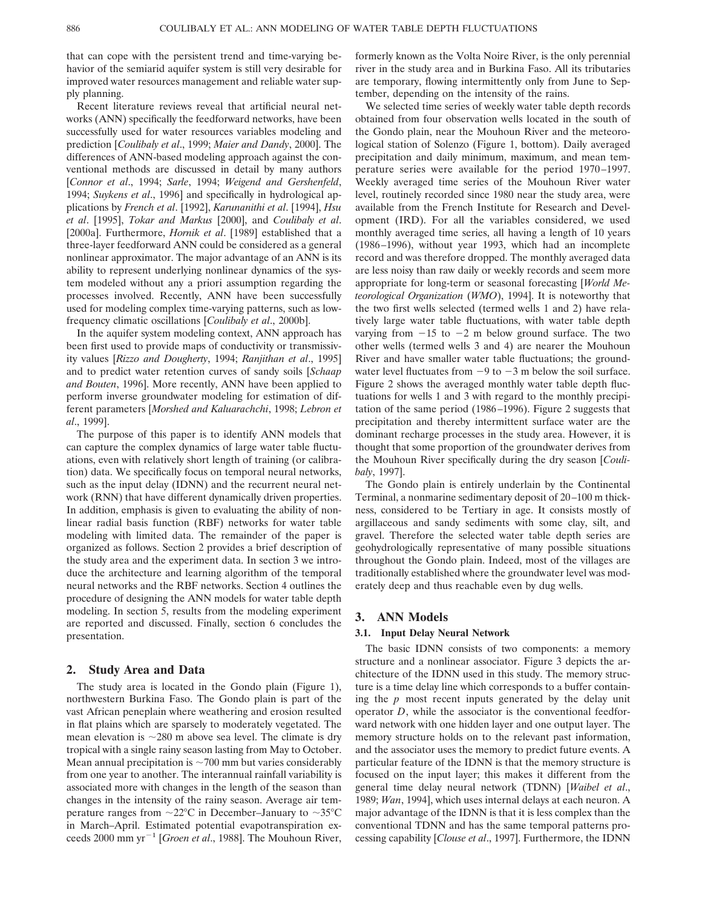that can cope with the persistent trend and time-varying behavior of the semiarid aquifer system is still very desirable for improved water resources management and reliable water supply planning.

Recent literature reviews reveal that artificial neural networks (ANN) specifically the feedforward networks, have been successfully used for water resources variables modeling and prediction [*Coulibaly et al*., 1999; *Maier and Dandy*, 2000]. The differences of ANN-based modeling approach against the conventional methods are discussed in detail by many authors [*Connor et al*., 1994; *Sarle*, 1994; *Weigend and Gershenfeld*, 1994; *Suykens et al*., 1996] and specifically in hydrological applications by *French et al*. [1992], *Karunanithi et al*. [1994], *Hsu et al*. [1995], *Tokar and Markus* [2000], and *Coulibaly et al*. [2000a]. Furthermore, *Hornik et al*. [1989] established that a three-layer feedforward ANN could be considered as a general nonlinear approximator. The major advantage of an ANN is its ability to represent underlying nonlinear dynamics of the system modeled without any a priori assumption regarding the processes involved. Recently, ANN have been successfully used for modeling complex time-varying patterns, such as lowfrequency climatic oscillations [*Coulibaly et al*., 2000b].

In the aquifer system modeling context, ANN approach has been first used to provide maps of conductivity or transmissivity values [*Rizzo and Dougherty*, 1994; *Ranjithan et al*., 1995] and to predict water retention curves of sandy soils [*Schaap and Bouten*, 1996]. More recently, ANN have been applied to perform inverse groundwater modeling for estimation of different parameters [*Morshed and Kaluarachchi*, 1998; *Lebron et al*., 1999].

The purpose of this paper is to identify ANN models that can capture the complex dynamics of large water table fluctuations, even with relatively short length of training (or calibration) data. We specifically focus on temporal neural networks, such as the input delay (IDNN) and the recurrent neural network (RNN) that have different dynamically driven properties. In addition, emphasis is given to evaluating the ability of nonlinear radial basis function (RBF) networks for water table modeling with limited data. The remainder of the paper is organized as follows. Section 2 provides a brief description of the study area and the experiment data. In section 3 we introduce the architecture and learning algorithm of the temporal neural networks and the RBF networks. Section 4 outlines the procedure of designing the ANN models for water table depth modeling. In section 5, results from the modeling experiment are reported and discussed. Finally, section 6 concludes the presentation.

## **2. Study Area and Data**

The study area is located in the Gondo plain (Figure 1), northwestern Burkina Faso. The Gondo plain is part of the vast African peneplain where weathering and erosion resulted in flat plains which are sparsely to moderately vegetated. The mean elevation is  $\sim$ 280 m above sea level. The climate is dry tropical with a single rainy season lasting from May to October. Mean annual precipitation is  $\sim$ 700 mm but varies considerably from one year to another. The interannual rainfall variability is associated more with changes in the length of the season than changes in the intensity of the rainy season. Average air temperature ranges from  $\sim$ 22°C in December–January to  $\sim$ 35°C in March–April. Estimated potential evapotranspiration exceeds 2000 mm yr<sup>-1</sup> [*Groen et al.*, 1988]. The Mouhoun River,

formerly known as the Volta Noire River, is the only perennial river in the study area and in Burkina Faso. All its tributaries are temporary, flowing intermittently only from June to September, depending on the intensity of the rains.

We selected time series of weekly water table depth records obtained from four observation wells located in the south of the Gondo plain, near the Mouhoun River and the meteorological station of Solenzo (Figure 1, bottom). Daily averaged precipitation and daily minimum, maximum, and mean temperature series were available for the period 1970–1997. Weekly averaged time series of the Mouhoun River water level, routinely recorded since 1980 near the study area, were available from the French Institute for Research and Development (IRD). For all the variables considered, we used monthly averaged time series, all having a length of 10 years (1986–1996), without year 1993, which had an incomplete record and was therefore dropped. The monthly averaged data are less noisy than raw daily or weekly records and seem more appropriate for long-term or seasonal forecasting [*World Meteorological Organization* (*WMO*), 1994]. It is noteworthy that the two first wells selected (termed wells 1 and 2) have relatively large water table fluctuations, with water table depth varying from  $-15$  to  $-2$  m below ground surface. The two other wells (termed wells 3 and 4) are nearer the Mouhoun River and have smaller water table fluctuations; the groundwater level fluctuates from  $-9$  to  $-3$  m below the soil surface. Figure 2 shows the averaged monthly water table depth fluctuations for wells 1 and 3 with regard to the monthly precipitation of the same period (1986–1996). Figure 2 suggests that precipitation and thereby intermittent surface water are the dominant recharge processes in the study area. However, it is thought that some proportion of the groundwater derives from the Mouhoun River specifically during the dry season [*Coulibaly*, 1997].

The Gondo plain is entirely underlain by the Continental Terminal, a nonmarine sedimentary deposit of 20–100 m thickness, considered to be Tertiary in age. It consists mostly of argillaceous and sandy sediments with some clay, silt, and gravel. Therefore the selected water table depth series are geohydrologically representative of many possible situations throughout the Gondo plain. Indeed, most of the villages are traditionally established where the groundwater level was moderately deep and thus reachable even by dug wells.

## **3. ANN Models**

#### **3.1. Input Delay Neural Network**

The basic IDNN consists of two components: a memory structure and a nonlinear associator. Figure 3 depicts the architecture of the IDNN used in this study. The memory structure is a time delay line which corresponds to a buffer containing the *p* most recent inputs generated by the delay unit operator *D*, while the associator is the conventional feedforward network with one hidden layer and one output layer. The memory structure holds on to the relevant past information, and the associator uses the memory to predict future events. A particular feature of the IDNN is that the memory structure is focused on the input layer; this makes it different from the general time delay neural network (TDNN) [*Waibel et al*., 1989; *Wan*, 1994], which uses internal delays at each neuron. A major advantage of the IDNN is that it is less complex than the conventional TDNN and has the same temporal patterns processing capability [*Clouse et al*., 1997]. Furthermore, the IDNN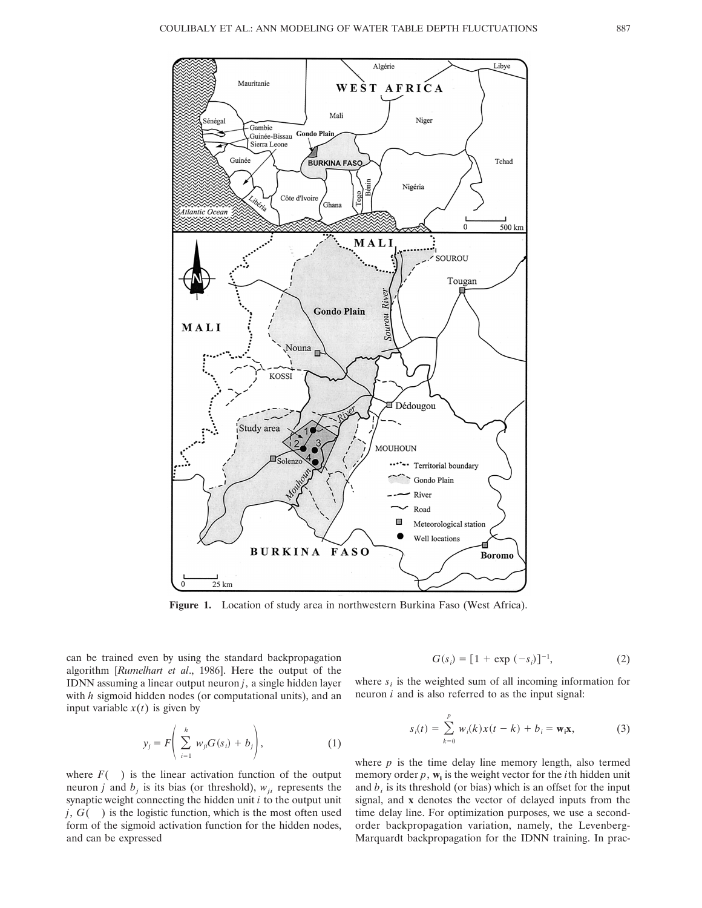

**Figure 1.** Location of study area in northwestern Burkina Faso (West Africa).

can be trained even by using the standard backpropagation algorithm [*Rumelhart et al*., 1986]. Here the output of the IDNN assuming a linear output neuron *j*, a single hidden layer with *h* sigmoid hidden nodes (or computational units), and an input variable  $x(t)$  is given by

$$
y_j = F\left(\sum_{i=1}^h w_{ji} G(s_i) + b_j\right),\tag{1}
$$

where  $F($  ) is the linear activation function of the output neuron *j* and  $b_j$  is its bias (or threshold),  $w_{ji}$  represents the synaptic weight connecting the hidden unit *i* to the output unit *j*, *G*( ) is the logistic function, which is the most often used form of the sigmoid activation function for the hidden nodes, and can be expressed

$$
G(s_i) = [1 + \exp(-s_i)]^{-1}, \tag{2}
$$

where  $s_i$  is the weighted sum of all incoming information for neuron *i* and is also referred to as the input signal:

$$
s_i(t) = \sum_{k=0}^p w_i(k)x(t-k) + b_i = \mathbf{w_i}\mathbf{x},
$$
 (3)

where  $p$  is the time delay line memory length, also termed memory order  $p$ ,  $w_i$  is the weight vector for the *i*th hidden unit and  $b_i$  is its threshold (or bias) which is an offset for the input signal, and **x** denotes the vector of delayed inputs from the time delay line. For optimization purposes, we use a secondorder backpropagation variation, namely, the Levenberg-Marquardt backpropagation for the IDNN training. In prac-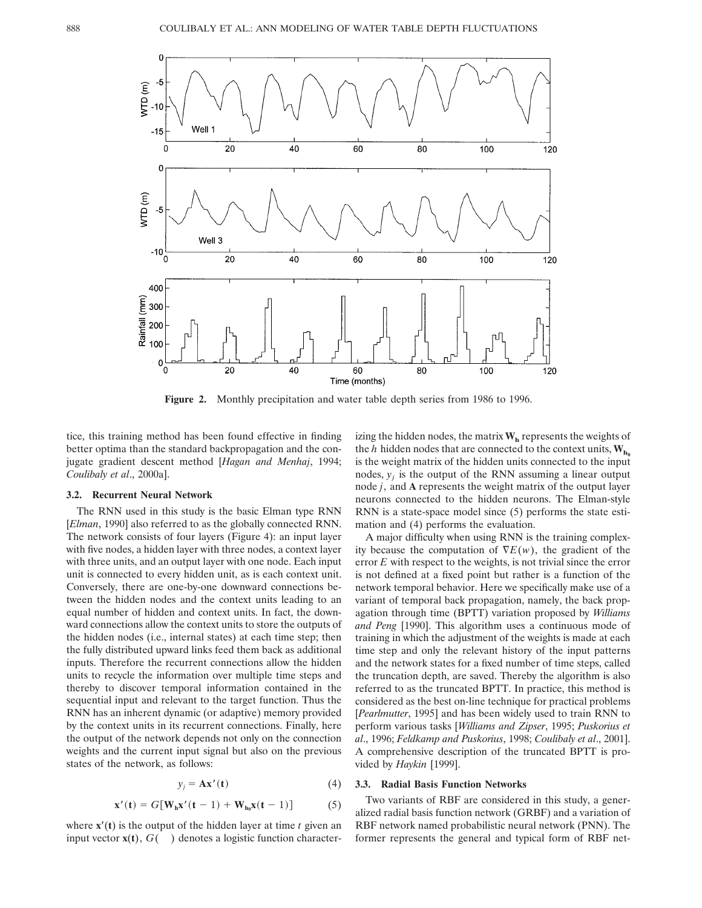

**Figure 2.** Monthly precipitation and water table depth series from 1986 to 1996.

tice, this training method has been found effective in finding better optima than the standard backpropagation and the conjugate gradient descent method [*Hagan and Menhaj*, 1994; *Coulibaly et al*., 2000a].

#### **3.2. Recurrent Neural Network**

The RNN used in this study is the basic Elman type RNN [*Elman*, 1990] also referred to as the globally connected RNN. The network consists of four layers (Figure 4): an input layer with five nodes, a hidden layer with three nodes, a context layer with three units, and an output layer with one node. Each input unit is connected to every hidden unit, as is each context unit. Conversely, there are one-by-one downward connections between the hidden nodes and the context units leading to an equal number of hidden and context units. In fact, the downward connections allow the context units to store the outputs of the hidden nodes (i.e., internal states) at each time step; then the fully distributed upward links feed them back as additional inputs. Therefore the recurrent connections allow the hidden units to recycle the information over multiple time steps and thereby to discover temporal information contained in the sequential input and relevant to the target function. Thus the RNN has an inherent dynamic (or adaptive) memory provided by the context units in its recurrent connections. Finally, here the output of the network depends not only on the connection weights and the current input signal but also on the previous states of the network, as follows:

$$
y_j = \mathbf{A}\mathbf{x}'(t) \tag{4}
$$

$$
\mathbf{x}'(\mathbf{t}) = G[\mathbf{W}_{\mathbf{h}}\mathbf{x}'(\mathbf{t}-1) + \mathbf{W}_{\mathbf{h}_0}\mathbf{x}(\mathbf{t}-1)] \tag{5}
$$

where  $\mathbf{x}'(t)$  is the output of the hidden layer at time *t* given an input vector **x**(**t**), *G*( ) denotes a logistic function characterizing the hidden nodes, the matrix  $W<sub>h</sub>$  represents the weights of the *h* hidden nodes that are connected to the context units,  $W_{h_0}$ is the weight matrix of the hidden units connected to the input nodes,  $y_i$  is the output of the RNN assuming a linear output node *j*, and **A** represents the weight matrix of the output layer neurons connected to the hidden neurons. The Elman-style RNN is a state-space model since (5) performs the state estimation and (4) performs the evaluation.

A major difficulty when using RNN is the training complexity because the computation of  $\nabla E(w)$ , the gradient of the error *E* with respect to the weights, is not trivial since the error is not defined at a fixed point but rather is a function of the network temporal behavior. Here we specifically make use of a variant of temporal back propagation, namely, the back propagation through time (BPTT) variation proposed by *Williams and Peng* [1990]. This algorithm uses a continuous mode of training in which the adjustment of the weights is made at each time step and only the relevant history of the input patterns and the network states for a fixed number of time steps, called the truncation depth, are saved. Thereby the algorithm is also referred to as the truncated BPTT. In practice, this method is considered as the best on-line technique for practical problems [*Pearlmutter*, 1995] and has been widely used to train RNN to perform various tasks [*Williams and Zipser*, 1995; *Puskorius et al*., 1996; *Feldkamp and Puskorius*, 1998; *Coulibaly et al*., 2001]. A comprehensive description of the truncated BPTT is provided by *Haykin* [1999].

# **3.3. Radial Basis Function Networks**

Two variants of RBF are considered in this study, a generalized radial basis function network (GRBF) and a variation of RBF network named probabilistic neural network (PNN). The former represents the general and typical form of RBF net-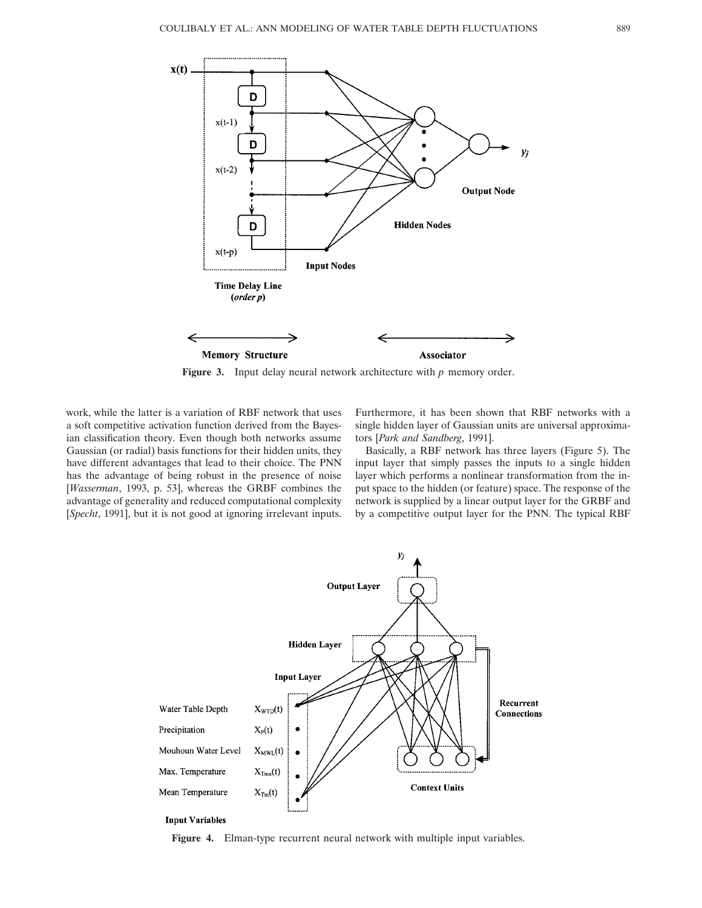

**Figure 3.** Input delay neural network architecture with *p* memory order.

work, while the latter is a variation of RBF network that uses a soft competitive activation function derived from the Bayesian classification theory. Even though both networks assume Gaussian (or radial) basis functions for their hidden units, they have different advantages that lead to their choice. The PNN has the advantage of being robust in the presence of noise [*Wasserman*, 1993, p. 53], whereas the GRBF combines the advantage of generality and reduced computational complexity [*Specht*, 1991], but it is not good at ignoring irrelevant inputs.

Furthermore, it has been shown that RBF networks with a single hidden layer of Gaussian units are universal approximators [*Park and Sandberg*, 1991].

Basically, a RBF network has three layers (Figure 5). The input layer that simply passes the inputs to a single hidden layer which performs a nonlinear transformation from the input space to the hidden (or feature) space. The response of the network is supplied by a linear output layer for the GRBF and by a competitive output layer for the PNN. The typical RBF



**Figure 4.** Elman-type recurrent neural network with multiple input variables.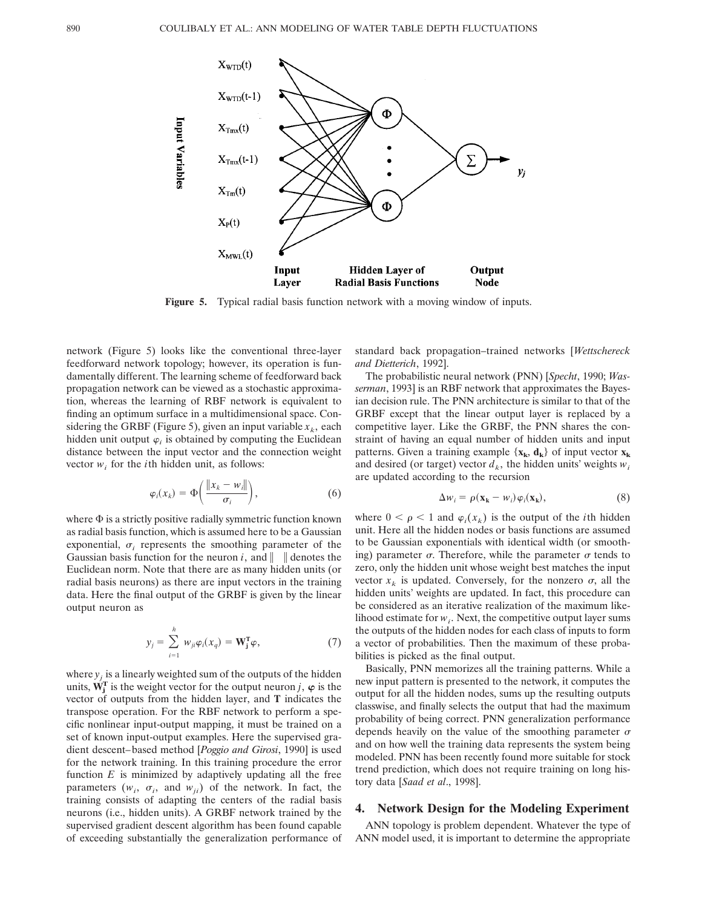

**Figure 5.** Typical radial basis function network with a moving window of inputs.

network (Figure 5) looks like the conventional three-layer feedforward network topology; however, its operation is fundamentally different. The learning scheme of feedforward back propagation network can be viewed as a stochastic approximation, whereas the learning of RBF network is equivalent to finding an optimum surface in a multidimensional space. Considering the GRBF (Figure 5), given an input variable  $x_k$ , each hidden unit output  $\varphi_i$  is obtained by computing the Euclidean distance between the input vector and the connection weight vector  $w_i$  for the *i*th hidden unit, as follows:

$$
\varphi_i(x_k) = \Phi\bigg(\frac{\|x_k - w_i\|}{\sigma_i}\bigg),\tag{6}
$$

where  $\Phi$  is a strictly positive radially symmetric function known as radial basis function, which is assumed here to be a Gaussian exponential,  $\sigma_i$  represents the smoothing parameter of the Gaussian basis function for the neuron *i*, and  $\|\cdot\|$  denotes the Euclidean norm. Note that there are as many hidden units (or radial basis neurons) as there are input vectors in the training data. Here the final output of the GRBF is given by the linear output neuron as

$$
y_j = \sum_{i=1}^h w_{ji} \varphi_i(x_q) = \mathbf{W}_j^{\mathrm{T}} \varphi,
$$
 (7)

where  $y_i$  is a linearly weighted sum of the outputs of the hidden units,  $\mathbf{W}_{j}^{\mathrm{T}}$  is the weight vector for the output neuron *j*,  $\varphi$  is the vector of outputs from the hidden layer, and **T** indicates the transpose operation. For the RBF network to perform a specific nonlinear input-output mapping, it must be trained on a set of known input-output examples. Here the supervised gradient descent–based method [*Poggio and Girosi*, 1990] is used for the network training. In this training procedure the error function  $E$  is minimized by adaptively updating all the free parameters  $(w_i, \sigma_i, \text{ and } w_{ji})$  of the network. In fact, the training consists of adapting the centers of the radial basis neurons (i.e., hidden units). A GRBF network trained by the supervised gradient descent algorithm has been found capable of exceeding substantially the generalization performance of standard back propagation–trained networks [*Wettschereck and Dietterich*, 1992].

The probabilistic neural network (PNN) [*Specht*, 1990; *Wasserman*, 1993] is an RBF network that approximates the Bayesian decision rule. The PNN architecture is similar to that of the GRBF except that the linear output layer is replaced by a competitive layer. Like the GRBF, the PNN shares the constraint of having an equal number of hidden units and input patterns. Given a training example  $\{x_k, d_k\}$  of input vector  $x_k$ and desired (or target) vector  $d_k$ , the hidden units' weights  $w_i$ are updated according to the recursion

$$
\Delta w_i = \rho(\mathbf{x}_k - w_i) \varphi_i(\mathbf{x}_k), \tag{8}
$$

where  $0 \le \rho \le 1$  and  $\varphi_i(x_k)$  is the output of the *i*th hidden unit. Here all the hidden nodes or basis functions are assumed to be Gaussian exponentials with identical width (or smoothing) parameter  $\sigma$ . Therefore, while the parameter  $\sigma$  tends to zero, only the hidden unit whose weight best matches the input vector  $x_k$  is updated. Conversely, for the nonzero  $\sigma$ , all the hidden units' weights are updated. In fact, this procedure can be considered as an iterative realization of the maximum likelihood estimate for  $w_i$ . Next, the competitive output layer sums the outputs of the hidden nodes for each class of inputs to form a vector of probabilities. Then the maximum of these probabilities is picked as the final output.

Basically, PNN memorizes all the training patterns. While a new input pattern is presented to the network, it computes the output for all the hidden nodes, sums up the resulting outputs classwise, and finally selects the output that had the maximum probability of being correct. PNN generalization performance depends heavily on the value of the smoothing parameter  $\sigma$ and on how well the training data represents the system being modeled. PNN has been recently found more suitable for stock trend prediction, which does not require training on long history data [*Saad et al*., 1998].

## **4. Network Design for the Modeling Experiment**

ANN topology is problem dependent. Whatever the type of ANN model used, it is important to determine the appropriate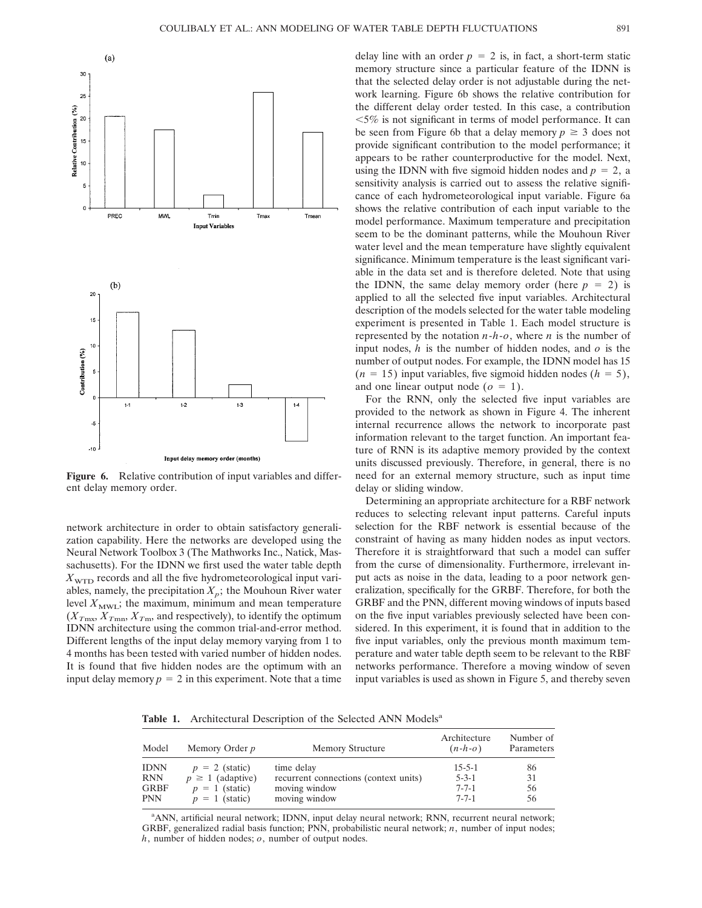

**Figure 6.** Relative contribution of input variables and different delay memory order.

network architecture in order to obtain satisfactory generalization capability. Here the networks are developed using the Neural Network Toolbox 3 (The Mathworks Inc., Natick, Massachusetts). For the IDNN we first used the water table depth  $X_{\text{WTD}}$  records and all the five hydrometeorological input variables, namely, the precipitation  $X_p$ ; the Mouhoun River water level  $X_{\text{MWL}}$ ; the maximum, minimum and mean temperature  $(X_{T<sub>mx</sub>}, X_{T<sub>mn</sub>}, X_{T<sub>m</sub>},$  and respectively), to identify the optimum IDNN architecture using the common trial-and-error method. Different lengths of the input delay memory varying from 1 to 4 months has been tested with varied number of hidden nodes. It is found that five hidden nodes are the optimum with an input delay memory  $p = 2$  in this experiment. Note that a time delay line with an order  $p = 2$  is, in fact, a short-term static memory structure since a particular feature of the IDNN is that the selected delay order is not adjustable during the network learning. Figure 6b shows the relative contribution for the different delay order tested. In this case, a contribution  $<$  5% is not significant in terms of model performance. It can be seen from Figure 6b that a delay memory  $p \geq 3$  does not provide significant contribution to the model performance; it appears to be rather counterproductive for the model. Next, using the IDNN with five sigmoid hidden nodes and  $p = 2$ , a sensitivity analysis is carried out to assess the relative significance of each hydrometeorological input variable. Figure 6a shows the relative contribution of each input variable to the model performance. Maximum temperature and precipitation seem to be the dominant patterns, while the Mouhoun River water level and the mean temperature have slightly equivalent significance. Minimum temperature is the least significant variable in the data set and is therefore deleted. Note that using the IDNN, the same delay memory order (here  $p = 2$ ) is applied to all the selected five input variables. Architectural description of the models selected for the water table modeling experiment is presented in Table 1. Each model structure is represented by the notation *n*-*h*-*o*, where *n* is the number of input nodes, *h* is the number of hidden nodes, and *o* is the number of output nodes. For example, the IDNN model has 15  $(n = 15)$  input variables, five sigmoid hidden nodes  $(h = 5)$ , and one linear output node  $(o = 1)$ .

For the RNN, only the selected five input variables are provided to the network as shown in Figure 4. The inherent internal recurrence allows the network to incorporate past information relevant to the target function. An important feature of RNN is its adaptive memory provided by the context units discussed previously. Therefore, in general, there is no need for an external memory structure, such as input time delay or sliding window.

Determining an appropriate architecture for a RBF network reduces to selecting relevant input patterns. Careful inputs selection for the RBF network is essential because of the constraint of having as many hidden nodes as input vectors. Therefore it is straightforward that such a model can suffer from the curse of dimensionality. Furthermore, irrelevant input acts as noise in the data, leading to a poor network generalization, specifically for the GRBF. Therefore, for both the GRBF and the PNN, different moving windows of inputs based on the five input variables previously selected have been considered. In this experiment, it is found that in addition to the five input variables, only the previous month maximum temperature and water table depth seem to be relevant to the RBF networks performance. Therefore a moving window of seven input variables is used as shown in Figure 5, and thereby seven

Table 1. Architectural Description of the Selected ANN Models<sup>a</sup>

| Model       | Memory Order <i>p</i> | <b>Memory Structure</b>               | Architecture<br>$(n-h-o)$ | Number of<br>Parameters |
|-------------|-----------------------|---------------------------------------|---------------------------|-------------------------|
| <b>IDNN</b> | $p = 2$ (static)      | time delay                            | $15 - 5 - 1$              | 86                      |
| RNN         | $p \geq 1$ (adaptive) | recurrent connections (context units) | $5 - 3 - 1$               | 31                      |
| GRBF        | $p = 1$ (static)      | moving window                         | $7 - 7 - 1$               | 56                      |
| PNN         | $p = 1$ (static)      | moving window                         | $7 - 7 - 1$               | 56                      |

a ANN, artificial neural network; IDNN, input delay neural network; RNN, recurrent neural network; GRBF, generalized radial basis function; PNN, probabilistic neural network; *n*, number of input nodes; *h*, number of hidden nodes; *o*, number of output nodes.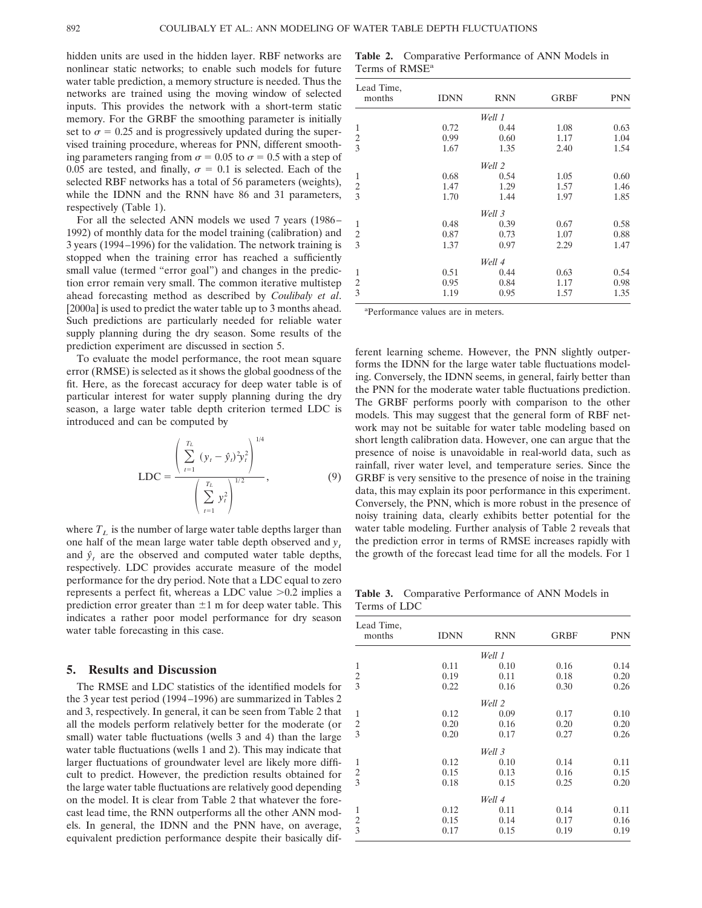hidden units are used in the hidden layer. RBF networks are nonlinear static networks; to enable such models for future water table prediction, a memory structure is needed. Thus the networks are trained using the moving window of selected inputs. This provides the network with a short-term static memory. For the GRBF the smoothing parameter is initially set to  $\sigma = 0.25$  and is progressively updated during the supervised training procedure, whereas for PNN, different smoothing parameters ranging from  $\sigma = 0.05$  to  $\sigma = 0.5$  with a step of 0.05 are tested, and finally,  $\sigma = 0.1$  is selected. Each of the selected RBF networks has a total of 56 parameters (weights), while the IDNN and the RNN have 86 and 31 parameters, respectively (Table 1).

For all the selected ANN models we used 7 years (1986– 1992) of monthly data for the model training (calibration) and 3 years (1994–1996) for the validation. The network training is stopped when the training error has reached a sufficiently small value (termed "error goal") and changes in the prediction error remain very small. The common iterative multistep ahead forecasting method as described by *Coulibaly et al*. [2000a] is used to predict the water table up to 3 months ahead. Such predictions are particularly needed for reliable water supply planning during the dry season. Some results of the prediction experiment are discussed in section 5.

To evaluate the model performance, the root mean square error (RMSE) is selected as it shows the global goodness of the fit. Here, as the forecast accuracy for deep water table is of particular interest for water supply planning during the dry season, a large water table depth criterion termed LDC is introduced and can be computed by

$$
LDC = \frac{\left(\sum_{t=1}^{T_L} (y_t - \hat{y}_t)^2 y_t^2\right)^{1/4}}{\left(\sum_{t=1}^{T_L} y_t^2\right)^{1/2}},
$$
\n(9)

where  $T_L$  is the number of large water table depths larger than one half of the mean large water table depth observed and  $y_t$ and  $\hat{y}_t$  are the observed and computed water table depths, respectively. LDC provides accurate measure of the model performance for the dry period. Note that a LDC equal to zero represents a perfect fit, whereas a LDC value  $>0.2$  implies a prediction error greater than  $\pm 1$  m for deep water table. This indicates a rather poor model performance for dry season water table forecasting in this case.

# **5. Results and Discussion**

The RMSE and LDC statistics of the identified models for the 3 year test period (1994–1996) are summarized in Tables 2 and 3, respectively. In general, it can be seen from Table 2 that all the models perform relatively better for the moderate (or small) water table fluctuations (wells 3 and 4) than the large water table fluctuations (wells 1 and 2). This may indicate that larger fluctuations of groundwater level are likely more difficult to predict. However, the prediction results obtained for the large water table fluctuations are relatively good depending on the model. It is clear from Table 2 that whatever the forecast lead time, the RNN outperforms all the other ANN models. In general, the IDNN and the PNN have, on average, equivalent prediction performance despite their basically dif-

**Table 2.** Comparative Performance of ANN Models in Terms of RMSE<sup>a</sup>

| Lead Time,<br>months | <b>IDNN</b> | <b>RNN</b> | <b>GRBF</b> | <b>PNN</b> |
|----------------------|-------------|------------|-------------|------------|
|                      |             | Well 1     |             |            |
| 1                    | 0.72        | 0.44       | 1.08        | 0.63       |
| 2                    | 0.99        | 0.60       | 1.17        | 1.04       |
| 3                    | 1.67        | 1.35       | 2.40        | 1.54       |
|                      |             | Well 2     |             |            |
| 1                    | 0.68        | 0.54       | 1.05        | 0.60       |
| 2                    | 1.47        | 1.29       | 1.57        | 1.46       |
| 3                    | 1.70        | 1.44       | 1.97        | 1.85       |
|                      |             | Well 3     |             |            |
| 1                    | 0.48        | 0.39       | 0.67        | 0.58       |
| $\overline{2}$       | 0.87        | 0.73       | 1.07        | 0.88       |
| 3                    | 1.37        | 0.97       | 2.29        | 1.47       |
|                      |             | Well 4     |             |            |
| 1                    | 0.51        | 0.44       | 0.63        | 0.54       |
| 2                    | 0.95        | 0.84       | 1.17        | 0.98       |
| 3                    | 1.19        | 0.95       | 1.57        | 1.35       |

a Performance values are in meters.

ferent learning scheme. However, the PNN slightly outperforms the IDNN for the large water table fluctuations modeling. Conversely, the IDNN seems, in general, fairly better than the PNN for the moderate water table fluctuations prediction. The GRBF performs poorly with comparison to the other models. This may suggest that the general form of RBF network may not be suitable for water table modeling based on short length calibration data. However, one can argue that the presence of noise is unavoidable in real-world data, such as rainfall, river water level, and temperature series. Since the GRBF is very sensitive to the presence of noise in the training data, this may explain its poor performance in this experiment. Conversely, the PNN, which is more robust in the presence of noisy training data, clearly exhibits better potential for the water table modeling. Further analysis of Table 2 reveals that the prediction error in terms of RMSE increases rapidly with the growth of the forecast lead time for all the models. For 1

**Table 3.** Comparative Performance of ANN Models in Terms of LDC

| Lead Time,<br>months | <b>IDNN</b> | <b>RNN</b> | <b>GRBF</b> | <b>PNN</b> |
|----------------------|-------------|------------|-------------|------------|
|                      |             | Well 1     |             |            |
| 1                    | 0.11        | 0.10       | 0.16        | 0.14       |
|                      | 0.19        | 0.11       | 0.18        | 0.20       |
| $\frac{2}{3}$        | 0.22        | 0.16       | 0.30        | 0.26       |
|                      |             | Well 2     |             |            |
| 1                    | 0.12        | 0.09       | 0.17        | 0.10       |
| $\overline{c}$       | 0.20        | 0.16       | 0.20        | 0.20       |
| $\overline{3}$       | 0.20        | 0.17       | 0.27        | 0.26       |
|                      |             | Well 3     |             |            |
| $\mathbf{1}$         | 0.12        | 0.10       | 0.14        | 0.11       |
|                      | 0.15        | 0.13       | 0.16        | 0.15       |
| $\frac{2}{3}$        | 0.18        | 0.15       | 0.25        | 0.20       |
|                      |             | Well 4     |             |            |
| $\mathbf{1}$         | 0.12        | 0.11       | 0.14        | 0.11       |
| $\overline{c}$       | 0.15        | 0.14       | 0.17        | 0.16       |
| $\overline{3}$       | 0.17        | 0.15       | 0.19        | 0.19       |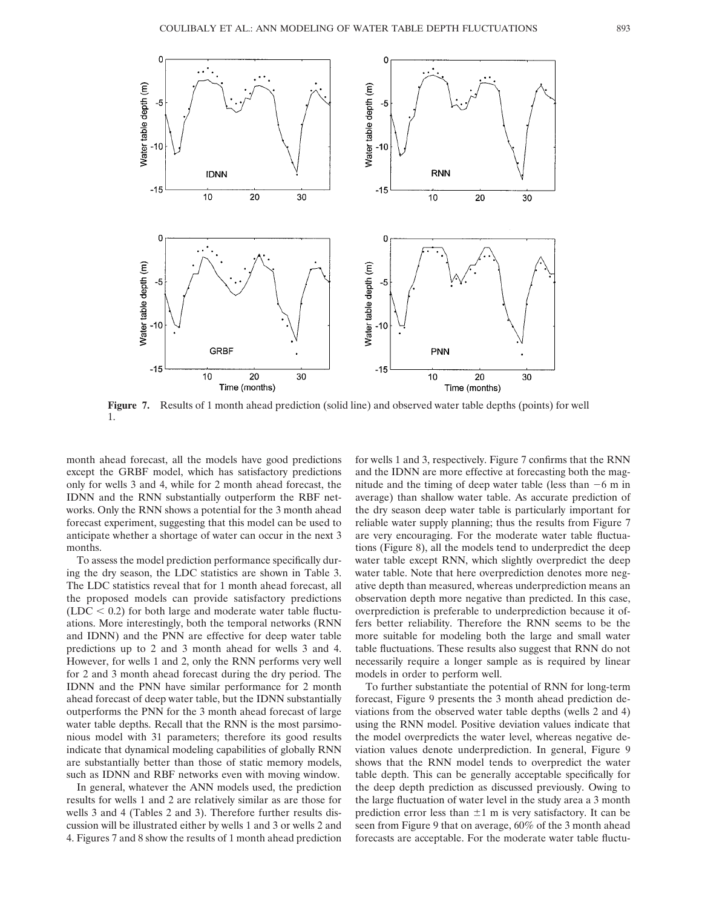

**Figure 7.** Results of 1 month ahead prediction (solid line) and observed water table depths (points) for well 1.

month ahead forecast, all the models have good predictions except the GRBF model, which has satisfactory predictions only for wells 3 and 4, while for 2 month ahead forecast, the IDNN and the RNN substantially outperform the RBF networks. Only the RNN shows a potential for the 3 month ahead forecast experiment, suggesting that this model can be used to anticipate whether a shortage of water can occur in the next 3 months.

To assess the model prediction performance specifically during the dry season, the LDC statistics are shown in Table 3. The LDC statistics reveal that for 1 month ahead forecast, all the proposed models can provide satisfactory predictions  $(LDC < 0.2)$  for both large and moderate water table fluctuations. More interestingly, both the temporal networks (RNN and IDNN) and the PNN are effective for deep water table predictions up to 2 and 3 month ahead for wells 3 and 4. However, for wells 1 and 2, only the RNN performs very well for 2 and 3 month ahead forecast during the dry period. The IDNN and the PNN have similar performance for 2 month ahead forecast of deep water table, but the IDNN substantially outperforms the PNN for the 3 month ahead forecast of large water table depths. Recall that the RNN is the most parsimonious model with 31 parameters; therefore its good results indicate that dynamical modeling capabilities of globally RNN are substantially better than those of static memory models, such as IDNN and RBF networks even with moving window.

In general, whatever the ANN models used, the prediction results for wells 1 and 2 are relatively similar as are those for wells 3 and 4 (Tables 2 and 3). Therefore further results discussion will be illustrated either by wells 1 and 3 or wells 2 and 4. Figures 7 and 8 show the results of 1 month ahead prediction for wells 1 and 3, respectively. Figure 7 confirms that the RNN and the IDNN are more effective at forecasting both the magnitude and the timing of deep water table (less than  $-6$  m in average) than shallow water table. As accurate prediction of the dry season deep water table is particularly important for reliable water supply planning; thus the results from Figure 7 are very encouraging. For the moderate water table fluctuations (Figure 8), all the models tend to underpredict the deep water table except RNN, which slightly overpredict the deep water table. Note that here overprediction denotes more negative depth than measured, whereas underprediction means an observation depth more negative than predicted. In this case, overprediction is preferable to underprediction because it offers better reliability. Therefore the RNN seems to be the more suitable for modeling both the large and small water table fluctuations. These results also suggest that RNN do not necessarily require a longer sample as is required by linear models in order to perform well.

To further substantiate the potential of RNN for long-term forecast, Figure 9 presents the 3 month ahead prediction deviations from the observed water table depths (wells 2 and 4) using the RNN model. Positive deviation values indicate that the model overpredicts the water level, whereas negative deviation values denote underprediction. In general, Figure 9 shows that the RNN model tends to overpredict the water table depth. This can be generally acceptable specifically for the deep depth prediction as discussed previously. Owing to the large fluctuation of water level in the study area a 3 month prediction error less than  $\pm 1$  m is very satisfactory. It can be seen from Figure 9 that on average, 60% of the 3 month ahead forecasts are acceptable. For the moderate water table fluctu-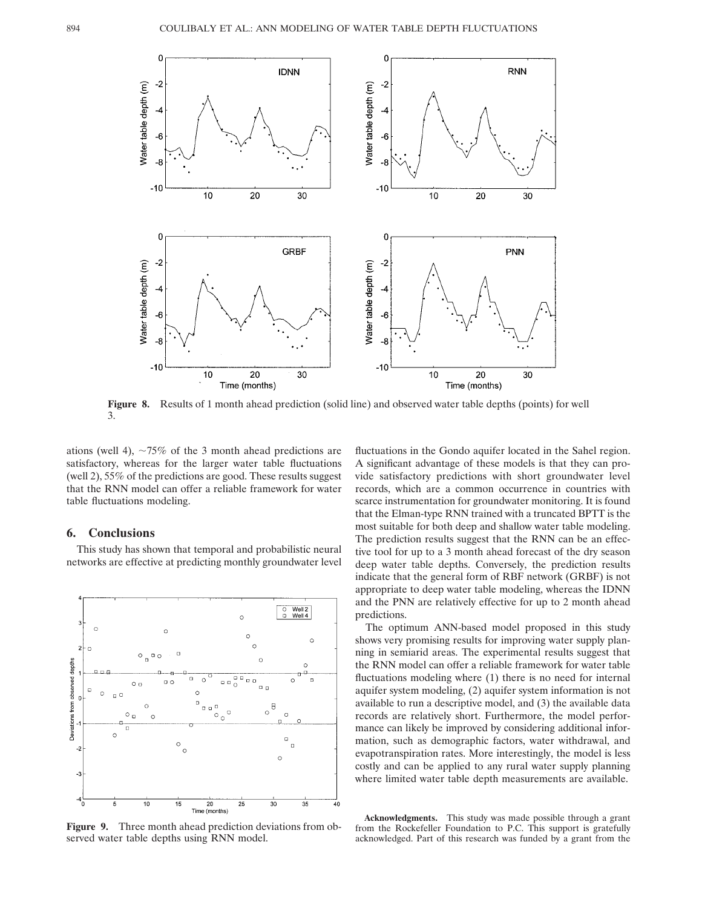

**Figure 8.** Results of 1 month ahead prediction (solid line) and observed water table depths (points) for well 3.

ations (well 4),  $\sim 75\%$  of the 3 month ahead predictions are satisfactory, whereas for the larger water table fluctuations (well 2), 55% of the predictions are good. These results suggest that the RNN model can offer a reliable framework for water table fluctuations modeling.

### **6. Conclusions**

This study has shown that temporal and probabilistic neural networks are effective at predicting monthly groundwater level



**Figure 9.** Three month ahead prediction deviations from observed water table depths using RNN model.

fluctuations in the Gondo aquifer located in the Sahel region. A significant advantage of these models is that they can provide satisfactory predictions with short groundwater level records, which are a common occurrence in countries with scarce instrumentation for groundwater monitoring. It is found that the Elman-type RNN trained with a truncated BPTT is the most suitable for both deep and shallow water table modeling. The prediction results suggest that the RNN can be an effective tool for up to a 3 month ahead forecast of the dry season deep water table depths. Conversely, the prediction results indicate that the general form of RBF network (GRBF) is not appropriate to deep water table modeling, whereas the IDNN and the PNN are relatively effective for up to 2 month ahead predictions.

The optimum ANN-based model proposed in this study shows very promising results for improving water supply planning in semiarid areas. The experimental results suggest that the RNN model can offer a reliable framework for water table fluctuations modeling where (1) there is no need for internal aquifer system modeling, (2) aquifer system information is not available to run a descriptive model, and (3) the available data records are relatively short. Furthermore, the model performance can likely be improved by considering additional information, such as demographic factors, water withdrawal, and evapotranspiration rates. More interestingly, the model is less costly and can be applied to any rural water supply planning where limited water table depth measurements are available.

**Acknowledgments.** This study was made possible through a grant from the Rockefeller Foundation to P.C. This support is gratefully acknowledged. Part of this research was funded by a grant from the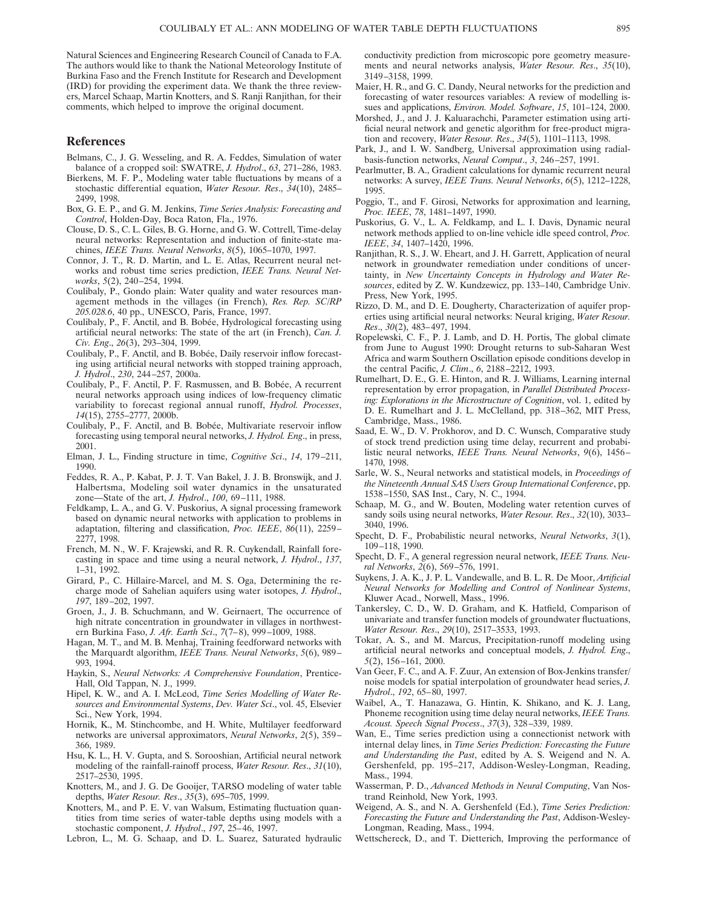Natural Sciences and Engineering Research Council of Canada to F.A. The authors would like to thank the National Meteorology Institute of Burkina Faso and the French Institute for Research and Development (IRD) for providing the experiment data. We thank the three reviewers, Marcel Schaap, Martin Knotters, and S. Ranji Ranjithan, for their comments, which helped to improve the original document.

#### **References**

- Belmans, C., J. G. Wesseling, and R. A. Feddes, Simulation of water balance of a cropped soil: SWATRE, *J. Hydrol*., *63*, 271–286, 1983.
- Bierkens, M. F. P., Modeling water table fluctuations by means of a stochastic differential equation, *Water Resour. Res*., *34*(10), 2485– 2499, 1998.
- Box, G. E. P., and G. M. Jenkins, *Time Series Analysis: Forecasting and Control*, Holden-Day, Boca Raton, Fla., 1976.
- Clouse, D. S., C. L. Giles, B. G. Horne, and G. W. Cottrell, Time-delay neural networks: Representation and induction of finite-state machines, *IEEE Trans. Neural Networks*, *8*(5), 1065–1070, 1997.
- Connor, J. T., R. D. Martin, and L. E. Atlas, Recurrent neural networks and robust time series prediction, *IEEE Trans. Neural Networks*, *5*(2), 240–254, 1994.
- Coulibaly, P., Gondo plain: Water quality and water resources management methods in the villages (in French), *Res. Rep. SC/RP 205.028.6*, 40 pp., UNESCO, Paris, France, 1997.
- Coulibaly, P., F. Anctil, and B. Bobée, Hydrological forecasting using artificial neural networks: The state of the art (in French), *Can. J. Civ. Eng*., *26*(3), 293–304, 1999.
- Coulibaly, P., F. Anctil, and B. Bobée, Daily reservoir inflow forecasting using artificial neural networks with stopped training approach, *J. Hydrol*., *230*, 244–257, 2000a.
- Coulibaly, P., F. Anctil, P. F. Rasmussen, and B. Bobée, A recurrent neural networks approach using indices of low-frequency climatic variability to forecast regional annual runoff, *Hydrol. Processes*, *14*(15), 2755–2777, 2000b.
- Coulibaly, P., F. Anctil, and B. Bobée, Multivariate reservoir inflow forecasting using temporal neural networks, *J. Hydrol. Eng*., in press, 2001.
- Elman, J. L., Finding structure in time, *Cognitive Sci*., *14*, 179–211, 1990.
- Feddes, R. A., P. Kabat, P. J. T. Van Bakel, J. J. B. Bronswijk, and J. Halbertsma, Modeling soil water dynamics in the unsaturated zone—State of the art, *J. Hydrol*., *100*, 69–111, 1988.
- Feldkamp, L. A., and G. V. Puskorius, A signal processing framework based on dynamic neural networks with application to problems in adaptation, filtering and classification, *Proc. IEEE*, *86*(11), 2259– 2277, 1998.
- French, M. N., W. F. Krajewski, and R. R. Cuykendall, Rainfall forecasting in space and time using a neural network, *J. Hydrol*., *137*, 1–31, 1992.
- Girard, P., C. Hillaire-Marcel, and M. S. Oga, Determining the recharge mode of Sahelian aquifers using water isotopes, *J. Hydrol*., *197*, 189–202, 1997.
- Groen, J., J. B. Schuchmann, and W. Geirnaert, The occurrence of high nitrate concentration in groundwater in villages in northwestern Burkina Faso, *J. Afr. Earth Sci*., *7*(7–8), 999–1009, 1988.
- Hagan, M. T., and M. B. Menhaj, Training feedforward networks with the Marquardt algorithm, *IEEE Trans. Neural Networks*, *5*(6), 989– 993, 1994.
- Haykin, S., *Neural Networks: A Comprehensive Foundation*, Prentice-Hall, Old Tappan, N. J., 1999.
- Hipel, K. W., and A. I. McLeod, *Time Series Modelling of Water Resources and Environmental Systems*, *Dev. Water Sci*., vol. 45, Elsevier Sci., New York, 1994.
- Hornik, K., M. Stinchcombe, and H. White, Multilayer feedforward networks are universal approximators, *Neural Networks*, *2*(5), 359– 366, 1989.
- Hsu, K. L., H. V. Gupta, and S. Sorooshian, Artificial neural network modeling of the rainfall-rainoff process, *Water Resour. Res*., *31*(10), 2517–2530, 1995.
- Knotters, M., and J. G. De Gooijer, TARSO modeling of water table depths, *Water Resour. Res*., *35*(3), 695–705, 1999.
- Knotters, M., and P. E. V. van Walsum, Estimating fluctuation quantities from time series of water-table depths using models with a stochastic component, *J. Hydrol*., *197*, 25–46, 1997.
- Lebron, L., M. G. Schaap, and D. L. Suarez, Saturated hydraulic

conductivity prediction from microscopic pore geometry measurements and neural networks analysis, *Water Resour. Res*., *35*(10), 3149–3158, 1999.

- Maier, H. R., and G. C. Dandy, Neural networks for the prediction and forecasting of water resources variables: A review of modelling issues and applications, *Environ. Model. Software*, *15*, 101–124, 2000.
- Morshed, J., and J. J. Kaluarachchi, Parameter estimation using artificial neural network and genetic algorithm for free-product migration and recovery, *Water Resour. Res*., *34*(5), 1101–1113, 1998.
- Park, J., and I. W. Sandberg, Universal approximation using radialbasis-function networks, *Neural Comput*., *3*, 246–257, 1991.
- Pearlmutter, B. A., Gradient calculations for dynamic recurrent neural networks: A survey, *IEEE Trans. Neural Networks*, *6*(5), 1212–1228, 1995.
- Poggio, T., and F. Girosi, Networks for approximation and learning, *Proc. IEEE*, *78*, 1481–1497, 1990.
- Puskorius, G. V., L. A. Feldkamp, and L. I. Davis, Dynamic neural network methods applied to on-line vehicle idle speed control, *Proc. IEEE*, *34*, 1407–1420, 1996.
- Ranjithan, R. S., J. W. Eheart, and J. H. Garrett, Application of neural network in groundwater remediation under conditions of uncertainty, in *New Uncertainty Concepts in Hydrology and Water Resources*, edited by Z. W. Kundzewicz, pp. 133–140, Cambridge Univ. Press, New York, 1995.
- Rizzo, D. M., and D. E. Dougherty, Characterization of aquifer properties using artificial neural networks: Neural kriging, *Water Resour. Res*., *30*(2), 483–497, 1994.
- Ropelewski, C. F., P. J. Lamb, and D. H. Portis, The global climate from June to August 1990: Drought returns to sub-Saharan West Africa and warm Southern Oscillation episode conditions develop in the central Pacific, *J. Clim*., *6*, 2188–2212, 1993.
- Rumelhart, D. E., G. E. Hinton, and R. J. Williams, Learning internal representation by error propagation, in *Parallel Distributed Processing: Explorations in the Microstructure of Cognition*, vol. 1, edited by D. E. Rumelhart and J. L. McClelland, pp. 318–362, MIT Press, Cambridge, Mass., 1986.
- Saad, E. W., D. V. Prokhorov, and D. C. Wunsch, Comparative study of stock trend prediction using time delay, recurrent and probabilistic neural networks, *IEEE Trans. Neural Networks*, *9*(6), 1456– 1470, 1998.
- Sarle, W. S., Neural networks and statistical models, in *Proceedings of the Nineteenth Annual SAS Users Group International Conference*, pp. 1538–1550, SAS Inst., Cary, N. C., 1994.
- Schaap, M. G., and W. Bouten, Modeling water retention curves of sandy soils using neural networks, *Water Resour. Res*., *32*(10), 3033– 3040, 1996.
- Specht, D. F., Probabilistic neural networks, *Neural Networks*, *3*(1), 109–118, 1990.
- Specht, D. F., A general regression neural network, *IEEE Trans. Neural Networks*, *2*(6), 569–576, 1991.
- Suykens, J. A. K., J. P. L. Vandewalle, and B. L. R. De Moor, *Artificial Neural Networks for Modelling and Control of Nonlinear Systems*, Kluwer Acad., Norwell, Mass., 1996.
- Tankersley, C. D., W. D. Graham, and K. Hatfield, Comparison of univariate and transfer function models of groundwater fluctuations, *Water Resour. Res*., *29*(10), 2517–3533, 1993.
- Tokar, A. S., and M. Marcus, Precipitation-runoff modeling using artificial neural networks and conceptual models, *J. Hydrol. Eng*., *5*(2), 156–161, 2000.
- Van Geer, F. C., and A. F. Zuur, An extension of Box-Jenkins transfer/ noise models for spatial interpolation of groundwater head series, *J. Hydrol*., *192*, 65–80, 1997.
- Waibel, A., T. Hanazawa, G. Hintin, K. Shikano, and K. J. Lang, Phoneme recognition using time delay neural networks, *IEEE Trans. Acoust. Speech Signal Process*., *37*(3), 328–339, 1989.
- Wan, E., Time series prediction using a connectionist network with internal delay lines, in *Time Series Prediction: Forecasting the Future and Understanding the Past*, edited by A. S. Weigend and N. A. Gershenfeld, pp. 195–217, Addison-Wesley-Longman, Reading, Mass., 1994.
- Wasserman, P. D., *Advanced Methods in Neural Computing*, Van Nostrand Reinhold, New York, 1993.
- Weigend, A. S., and N. A. Gershenfeld (Ed.), *Time Series Prediction: Forecasting the Future and Understanding the Past*, Addison-Wesley-Longman, Reading, Mass., 1994.
- Wettschereck, D., and T. Dietterich, Improving the performance of